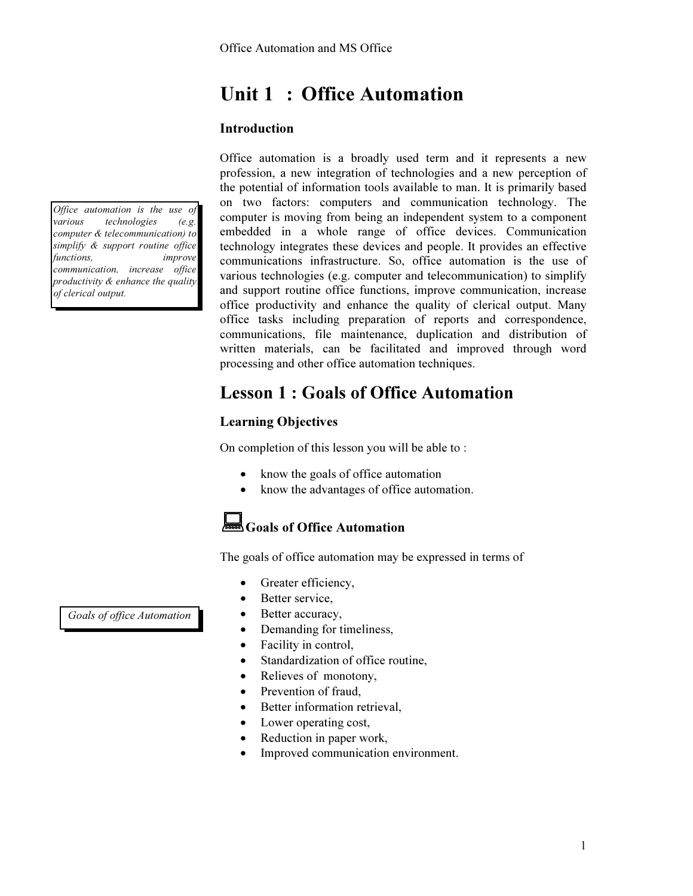# Unit 1 : Office Automation

## Introduction

Office automation is a broadly used term and it represents a new profession, a new integration of technologies and a new perception of the potential of information tools available to man. It is primarily based on two factors: computers and communication technology. The computer is moving from being an independent system to a component embedded in a whole range of office devices. Communication technology integrates these devices and people. It provides an effective communications infrastructure. So, office automation is the use of various technologies (e.g. computer and telecommunication) to simplify and support routine office functions, improve communication, increase office productivity and enhance the quality of clerical output. Many office tasks including preparation of reports and correspondence, communications, file maintenance, duplication and distribution of written materials, can be facilitated and improved through word processing and other office automation techniques.

# Lesson 1 : Goals of Office Automation

# Learning Objectives

On completion of this lesson you will be able to :

- know the goals of office automation
- know the advantages of office automation.

# Goals of Office Automation

The goals of office automation may be expressed in terms of

- Greater efficiency,
- Better service,
- Better accuracy,
- Demanding for timeliness,
- Facility in control,
- Standardization of office routine,
- Relieves of monotony,
- Prevention of fraud,
- Better information retrieval,
- Lower operating cost,
- Reduction in paper work,
- Improved communication environment.

Goals of office Automation

Office automation is the use of various technologies (e.g. computer & telecommunication) to simplify & support routine office functions, improve communication, increase office productivity & enhance the quality

of clerical output.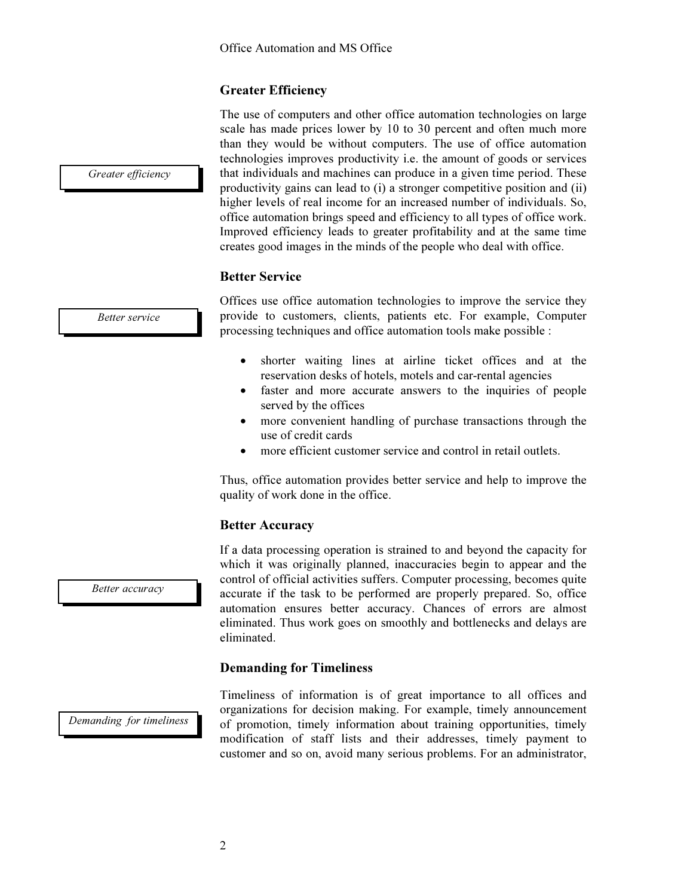# Greater Efficiency

The use of computers and other office automation technologies on large scale has made prices lower by 10 to 30 percent and often much more than they would be without computers. The use of office automation technologies improves productivity i.e. the amount of goods or services that individuals and machines can produce in a given time period. These productivity gains can lead to (i) a stronger competitive position and (ii) higher levels of real income for an increased number of individuals. So, office automation brings speed and efficiency to all types of office work. Improved efficiency leads to greater profitability and at the same time creates good images in the minds of the people who deal with office.

# Better Service

Better service

Greater efficiency

Offices use office automation technologies to improve the service they provide to customers, clients, patients etc. For example, Computer processing techniques and office automation tools make possible :

- shorter waiting lines at airline ticket offices and at the reservation desks of hotels, motels and car-rental agencies
- faster and more accurate answers to the inquiries of people served by the offices
- more convenient handling of purchase transactions through the use of credit cards
- more efficient customer service and control in retail outlets.

Thus, office automation provides better service and help to improve the quality of work done in the office.

### Better Accuracy

If a data processing operation is strained to and beyond the capacity for which it was originally planned, inaccuracies begin to appear and the control of official activities suffers. Computer processing, becomes quite accurate if the task to be performed are properly prepared. So, office automation ensures better accuracy. Chances of errors are almost eliminated. Thus work goes on smoothly and bottlenecks and delays are eliminated.

## Demanding for Timeliness

Demanding for timeliness

Timeliness of information is of great importance to all offices and organizations for decision making. For example, timely announcement of promotion, timely information about training opportunities, timely modification of staff lists and their addresses, timely payment to customer and so on, avoid many serious problems. For an administrator,

Better accuracy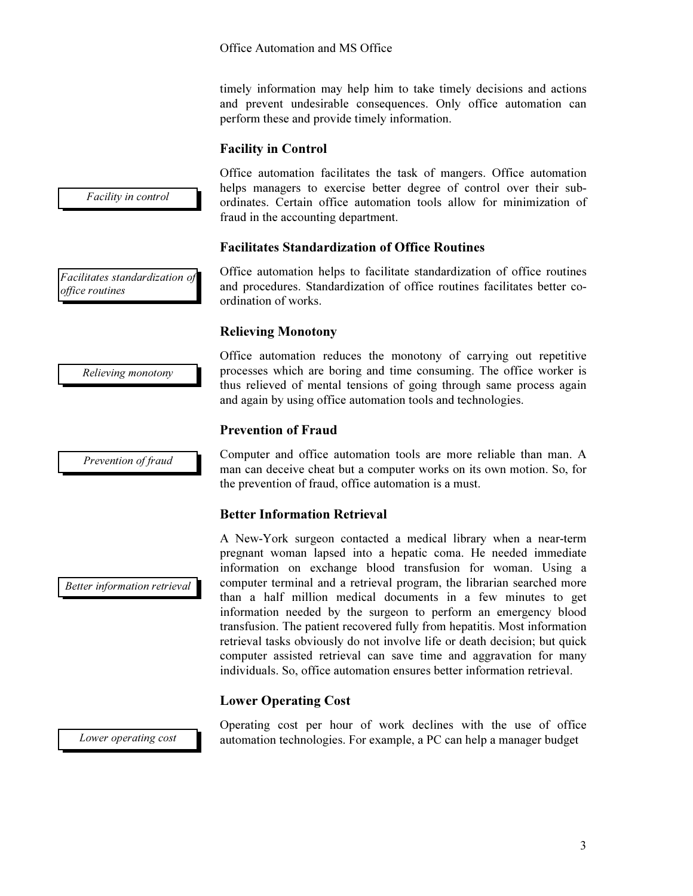timely information may help him to take timely decisions and actions and prevent undesirable consequences. Only office automation can perform these and provide timely information.

## Facility in Control

Office automation facilitates the task of mangers. Office automation helps managers to exercise better degree of control over their subordinates. Certain office automation tools allow for minimization of fraud in the accounting department.

## Facilitates Standardization of Office Routines

Office automation helps to facilitate standardization of office routines and procedures. Standardization of office routines facilitates better coordination of works.

### Relieving Monotony

Office automation reduces the monotony of carrying out repetitive processes which are boring and time consuming. The office worker is thus relieved of mental tensions of going through same process again and again by using office automation tools and technologies.

### Prevention of Fraud

Computer and office automation tools are more reliable than man. A man can deceive cheat but a computer works on its own motion. So, for the prevention of fraud, office automation is a must.

## Better Information Retrieval

A New-York surgeon contacted a medical library when a near-term pregnant woman lapsed into a hepatic coma. He needed immediate information on exchange blood transfusion for woman. Using a computer terminal and a retrieval program, the librarian searched more than a half million medical documents in a few minutes to get information needed by the surgeon to perform an emergency blood transfusion. The patient recovered fully from hepatitis. Most information retrieval tasks obviously do not involve life or death decision; but quick computer assisted retrieval can save time and aggravation for many individuals. So, office automation ensures better information retrieval.

## Lower Operating Cost

Lower operating cost

Operating cost per hour of work declines with the use of office automation technologies. For example, a PC can help a manager budget

Facilitates standardization of office routines

Facility in control

Relieving monotony

Prevention of fraud

Better information retrieval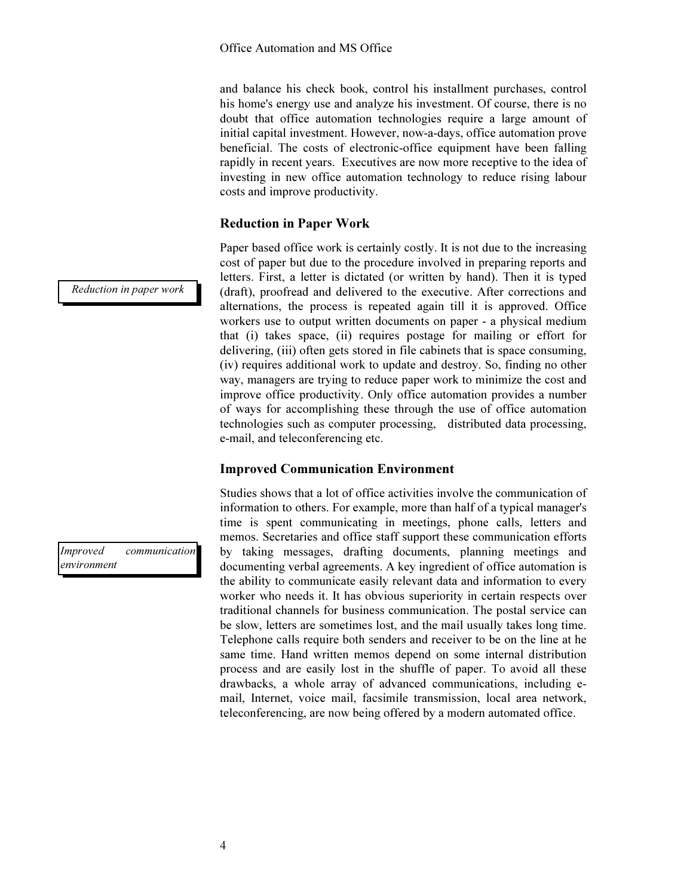and balance his check book, control his installment purchases, control his home's energy use and analyze his investment. Of course, there is no doubt that office automation technologies require a large amount of initial capital investment. However, now-a-days, office automation prove beneficial. The costs of electronic-office equipment have been falling rapidly in recent years. Executives are now more receptive to the idea of investing in new office automation technology to reduce rising labour costs and improve productivity.

# Reduction in Paper Work

Paper based office work is certainly costly. It is not due to the increasing cost of paper but due to the procedure involved in preparing reports and letters. First, a letter is dictated (or written by hand). Then it is typed (draft), proofread and delivered to the executive. After corrections and alternations, the process is repeated again till it is approved. Office workers use to output written documents on paper - a physical medium that (i) takes space, (ii) requires postage for mailing or effort for delivering, (iii) often gets stored in file cabinets that is space consuming, (iv) requires additional work to update and destroy. So, finding no other way, managers are trying to reduce paper work to minimize the cost and improve office productivity. Only office automation provides a number of ways for accomplishing these through the use of office automation technologies such as computer processing, distributed data processing, e-mail, and teleconferencing etc.

## Improved Communication Environment

Studies shows that a lot of office activities involve the communication of information to others. For example, more than half of a typical manager's time is spent communicating in meetings, phone calls, letters and memos. Secretaries and office staff support these communication efforts by taking messages, drafting documents, planning meetings and documenting verbal agreements. A key ingredient of office automation is the ability to communicate easily relevant data and information to every worker who needs it. It has obvious superiority in certain respects over traditional channels for business communication. The postal service can be slow, letters are sometimes lost, and the mail usually takes long time. Telephone calls require both senders and receiver to be on the line at he same time. Hand written memos depend on some internal distribution process and are easily lost in the shuffle of paper. To avoid all these drawbacks, a whole array of advanced communications, including email, Internet, voice mail, facsimile transmission, local area network, teleconferencing, are now being offered by a modern automated office.

Reduction in paper work

Improved communication environment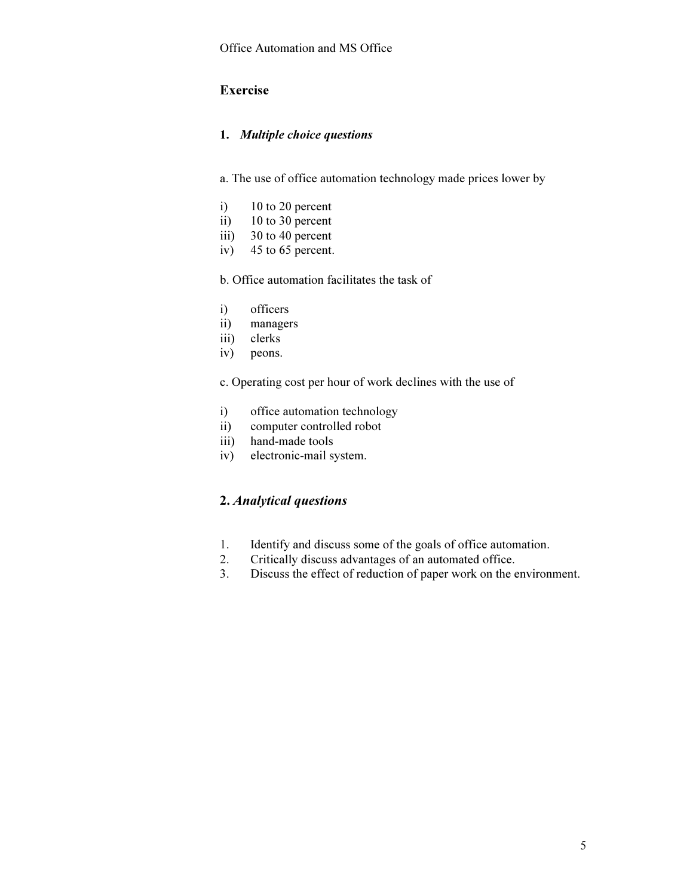# Exercise

### 1. *Multiple choice questions*

a. The use of office automation technology made prices lower by

- i) 10 to 20 percent
- ii) 10 to 30 percent
- iii) 30 to 40 percent
- iv) 45 to 65 percent.

b. Office automation facilitates the task of

- i) officers
- ii) managers
- iii) clerks
- iv) peons.

c. Operating cost per hour of work declines with the use of

- i) office automation technology
- ii) computer controlled robot
- iii) hand-made tools
- iv) electronic-mail system.

# 2. Analytical questions

- 1. Identify and discuss some of the goals of office automation.
- 2. Critically discuss advantages of an automated office.
- 3. Discuss the effect of reduction of paper work on the environment.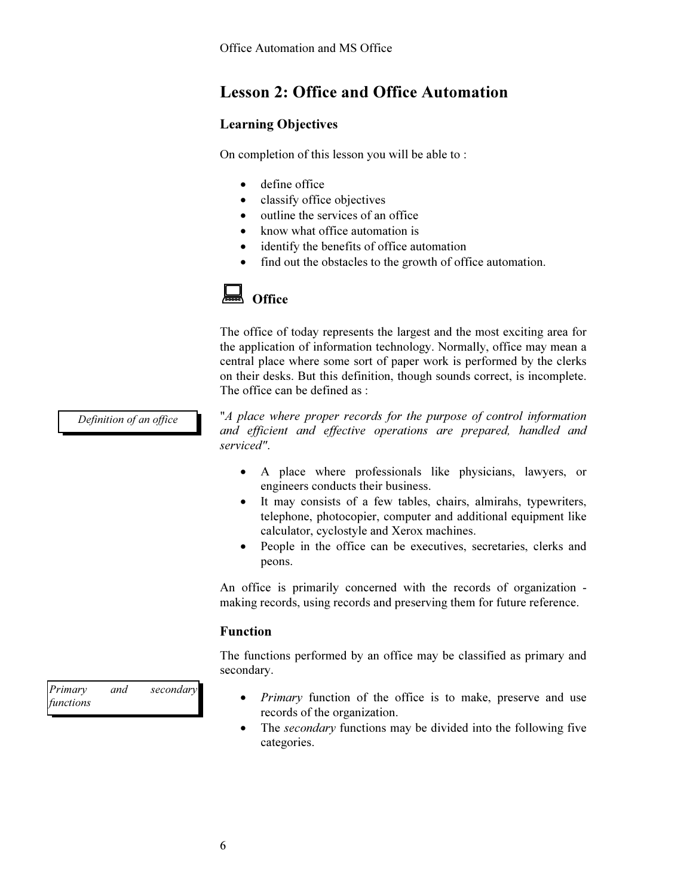# Lesson 2: Office and Office Automation

# Learning Objectives

On completion of this lesson you will be able to :

- define office
- classify office objectives
- outline the services of an office
- know what office automation is
- identify the benefits of office automation
- find out the obstacles to the growth of office automation.



The office of today represents the largest and the most exciting area for the application of information technology. Normally, office may mean a central place where some sort of paper work is performed by the clerks on their desks. But this definition, though sounds correct, is incomplete. The office can be defined as :

Definition of an office

"A place where proper records for the purpose of control information and efficient and effective operations are prepared, handled and serviced".

- A place where professionals like physicians, lawyers, or engineers conducts their business.
- It may consists of a few tables, chairs, almirahs, typewriters, telephone, photocopier, computer and additional equipment like calculator, cyclostyle and Xerox machines.
- People in the office can be executives, secretaries, clerks and peons.

An office is primarily concerned with the records of organization making records, using records and preserving them for future reference.

### Function

The functions performed by an office may be classified as primary and secondary.

- *Primary* function of the office is to make, preserve and use records of the organization.
- The secondary functions may be divided into the following five categories.

Primary and secondary functions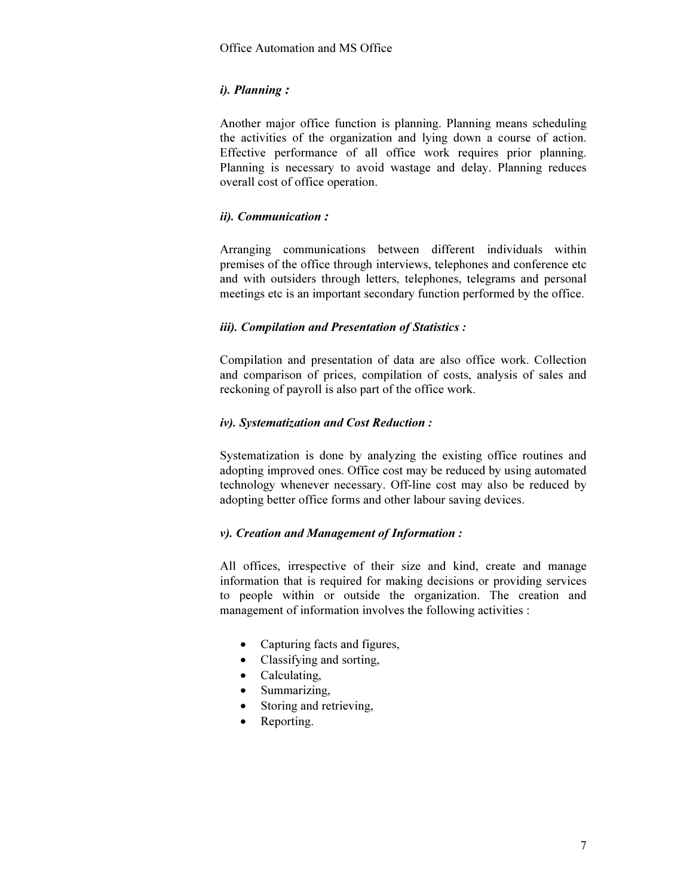# *i). Planning* :

Another major office function is planning. Planning means scheduling the activities of the organization and lying down a course of action. Effective performance of all office work requires prior planning. Planning is necessary to avoid wastage and delay. Planning reduces overall cost of office operation.

# *ii). Communication* :

Arranging communications between different individuals within premises of the office through interviews, telephones and conference etc and with outsiders through letters, telephones, telegrams and personal meetings etc is an important secondary function performed by the office.

# *iii). Compilation and Presentation of Statistics :*

Compilation and presentation of data are also office work. Collection and comparison of prices, compilation of costs, analysis of sales and reckoning of payroll is also part of the office work.

# *iv). Systematization and Cost Reduction :*

Systematization is done by analyzing the existing office routines and adopting improved ones. Office cost may be reduced by using automated technology whenever necessary. Off-line cost may also be reduced by adopting better office forms and other labour saving devices.

# *v). Creation and Management of Information :*

All offices, irrespective of their size and kind, create and manage information that is required for making decisions or providing services to people within or outside the organization. The creation and management of information involves the following activities :

- Capturing facts and figures,
- Classifying and sorting,
- Calculating,
- Summarizing,
- Storing and retrieving,
- Reporting.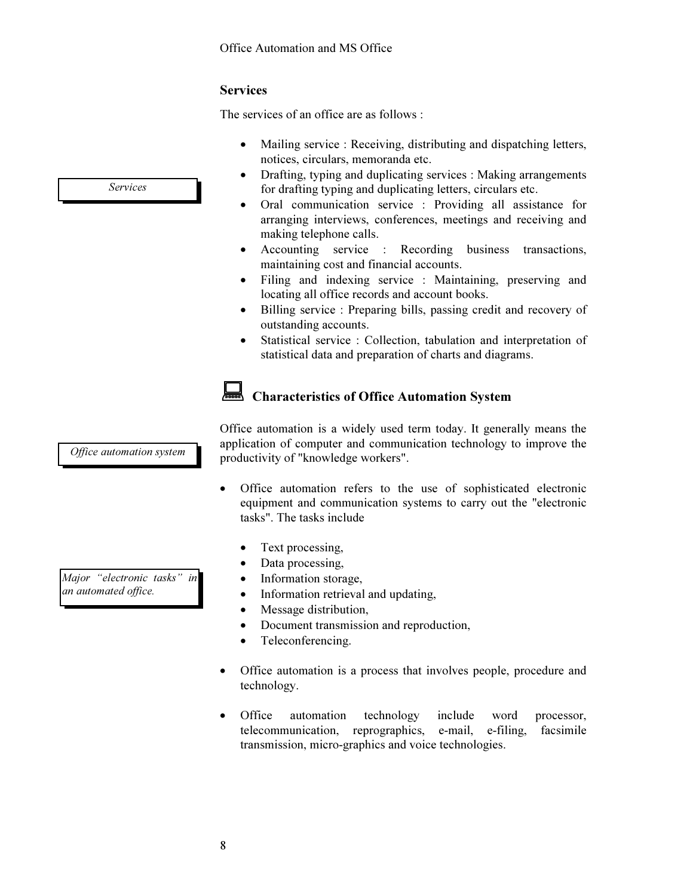# Services

The services of an office are as follows :

- Mailing service : Receiving, distributing and dispatching letters, notices, circulars, memoranda etc.
- Drafting, typing and duplicating services : Making arrangements for drafting typing and duplicating letters, circulars etc.
- Oral communication service : Providing all assistance for arranging interviews, conferences, meetings and receiving and making telephone calls.
- Accounting service : Recording business transactions, maintaining cost and financial accounts.
- Filing and indexing service : Maintaining, preserving and locating all office records and account books.
- Billing service : Preparing bills, passing credit and recovery of outstanding accounts.
- Statistical service : Collection, tabulation and interpretation of statistical data and preparation of charts and diagrams.

# Characteristics of Office Automation System

Office automation system

Office automation is a widely used term today. It generally means the application of computer and communication technology to improve the productivity of "knowledge workers".

- Office automation refers to the use of sophisticated electronic equipment and communication systems to carry out the "electronic tasks". The tasks include
	- Text processing,
	- Data processing,
	- Information storage,
	- Information retrieval and updating,
	- Message distribution,
	- Document transmission and reproduction,
	- Teleconferencing.
- Office automation is a process that involves people, procedure and technology.
- Office automation technology include word processor, telecommunication, reprographics, e-mail, e-filing, facsimile transmission, micro-graphics and voice technologies.

Major "electronic tasks" in an automated office.

Services

8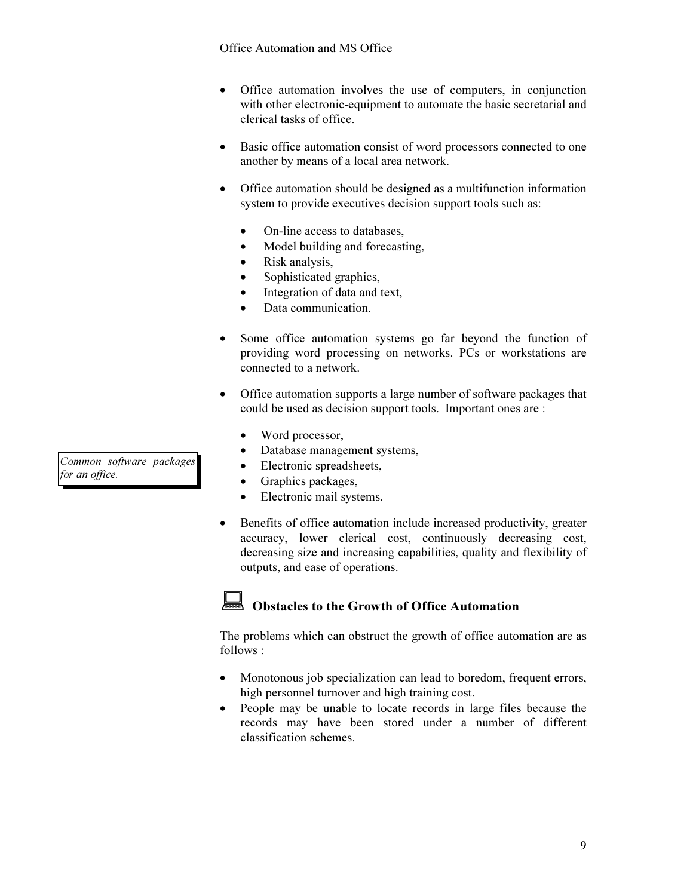### Office Automation and MS Office

- Office automation involves the use of computers, in conjunction with other electronic-equipment to automate the basic secretarial and clerical tasks of office.
- Basic office automation consist of word processors connected to one another by means of a local area network.
- Office automation should be designed as a multifunction information system to provide executives decision support tools such as:
	- On-line access to databases,
	- Model building and forecasting,
	- Risk analysis,
	- Sophisticated graphics,
	- Integration of data and text,
	- Data communication.
- Some office automation systems go far beyond the function of providing word processing on networks. PCs or workstations are connected to a network.
- Office automation supports a large number of software packages that could be used as decision support tools. Important ones are :
	- Word processor,
	- Database management systems,
	- Electronic spreadsheets,
	- Graphics packages,
	- Electronic mail systems.
- Benefits of office automation include increased productivity, greater accuracy, lower clerical cost, continuously decreasing cost, decreasing size and increasing capabilities, quality and flexibility of outputs, and ease of operations.

# Obstacles to the Growth of Office Automation

The problems which can obstruct the growth of office automation are as follows :

- Monotonous job specialization can lead to boredom, frequent errors, high personnel turnover and high training cost.
- People may be unable to locate records in large files because the records may have been stored under a number of different classification schemes.

Common software packages for an office.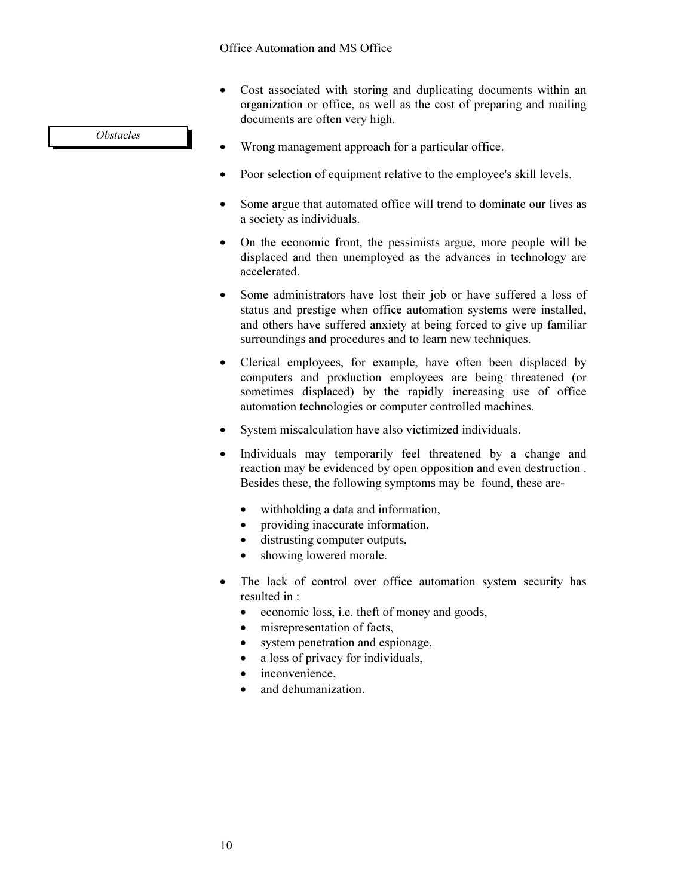- Cost associated with storing and duplicating documents within an organization or office, as well as the cost of preparing and mailing documents are often very high.
- Wrong management approach for a particular office.
- Poor selection of equipment relative to the employee's skill levels.
- Some argue that automated office will trend to dominate our lives as a society as individuals.
- On the economic front, the pessimists argue, more people will be displaced and then unemployed as the advances in technology are accelerated.
- Some administrators have lost their job or have suffered a loss of status and prestige when office automation systems were installed, and others have suffered anxiety at being forced to give up familiar surroundings and procedures and to learn new techniques.
- Clerical employees, for example, have often been displaced by computers and production employees are being threatened (or sometimes displaced) by the rapidly increasing use of office automation technologies or computer controlled machines.
- System miscalculation have also victimized individuals.
- Individuals may temporarily feel threatened by a change and reaction may be evidenced by open opposition and even destruction . Besides these, the following symptoms may be found, these are-
	- withholding a data and information,
	- providing inaccurate information,
	- distrusting computer outputs,
	- showing lowered morale.
- The lack of control over office automation system security has resulted in :
	- economic loss, i.e. theft of money and goods,
	- misrepresentation of facts,
	- system penetration and espionage,
	- a loss of privacy for individuals,
	- inconvenience.
	- and dehumanization.

**Obstacles**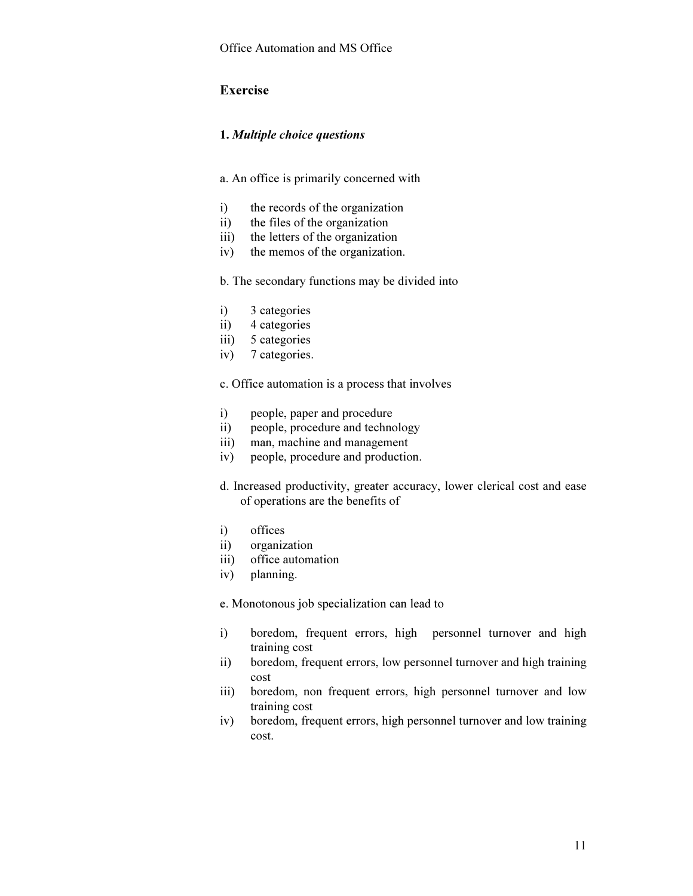# Exercise

### 1. *Multiple choice questions*

- a. An office is primarily concerned with
- i) the records of the organization
- ii) the files of the organization
- iii) the letters of the organization
- iv) the memos of the organization.

b. The secondary functions may be divided into

- i) 3 categories
- ii) 4 categories
- iii) 5 categories
- iv) 7 categories.

c. Office automation is a process that involves

- i) people, paper and procedure
- ii) people, procedure and technology
- iii) man, machine and management
- iv) people, procedure and production.
- d. Increased productivity, greater accuracy, lower clerical cost and ease of operations are the benefits of
- i) offices
- ii) organization
- iii) office automation
- iv) planning.

e. Monotonous job specialization can lead to

- i) boredom, frequent errors, high personnel turnover and high training cost
- ii) boredom, frequent errors, low personnel turnover and high training cost
- iii) boredom, non frequent errors, high personnel turnover and low training cost
- iv) boredom, frequent errors, high personnel turnover and low training cost.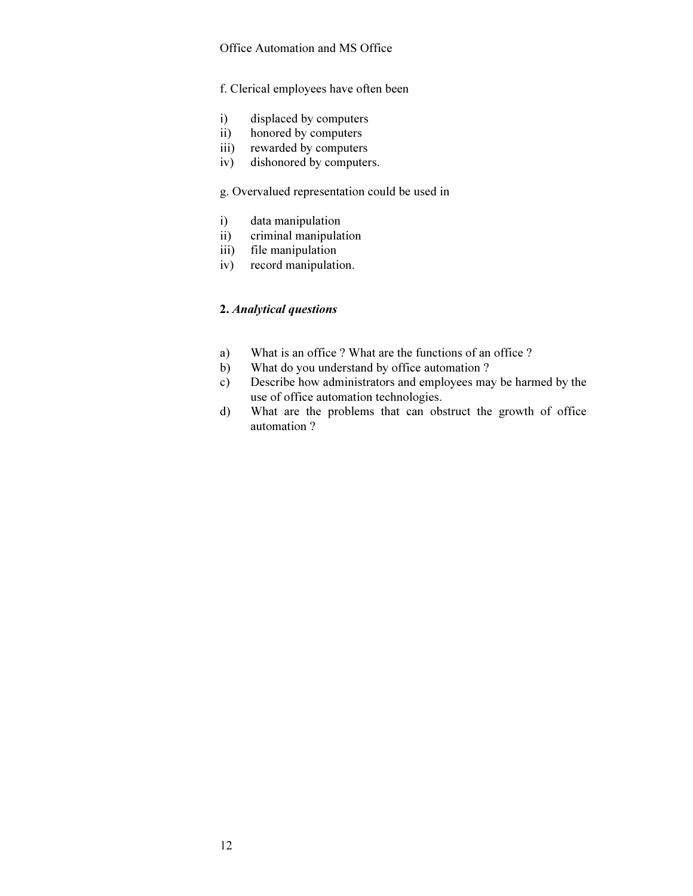### Office Automation and MS Office

### f. Clerical employees have often been

- i) displaced by computers
- ii) honored by computers
- iii) rewarded by computers
- iv) dishonored by computers.

## g. Overvalued representation could be used in

- i) data manipulation
- ii) criminal manipulation
- iii) file manipulation
- iv) record manipulation.

## 2. *Analytical questions*

- a) What is an office ? What are the functions of an office ?
- b) What do you understand by office automation ?
- c) Describe how administrators and employees may be harmed by the use of office automation technologies.
- d) What are the problems that can obstruct the growth of office automation ?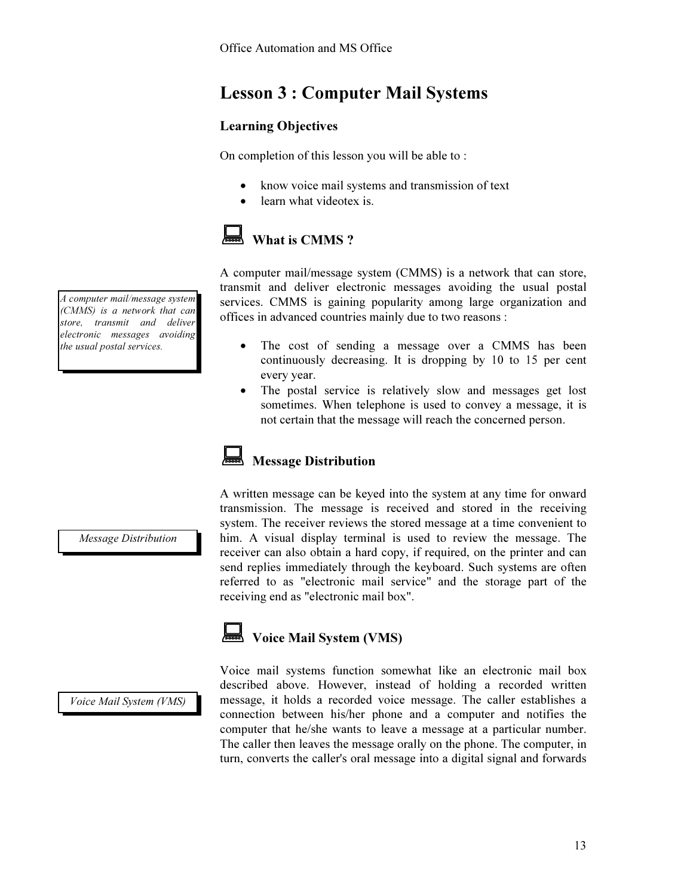# Lesson 3 : Computer Mail Systems

# Learning Objectives

On completion of this lesson you will be able to :

- know voice mail systems and transmission of text
- learn what videotex is.

# What is CMMS ?

A computer mail/message system (CMMS) is a network that can store, transmit and deliver electronic messages avoiding the usual postal services. CMMS is gaining popularity among large organization and offices in advanced countries mainly due to two reasons :

- The cost of sending a message over a CMMS has been continuously decreasing. It is dropping by 10 to 15 per cent every year.
- The postal service is relatively slow and messages get lost sometimes. When telephone is used to convey a message, it is not certain that the message will reach the concerned person.

# Message Distribution

A written message can be keyed into the system at any time for onward transmission. The message is received and stored in the receiving system. The receiver reviews the stored message at a time convenient to him. A visual display terminal is used to review the message. The receiver can also obtain a hard copy, if required, on the printer and can send replies immediately through the keyboard. Such systems are often referred to as "electronic mail service" and the storage part of the receiving end as "electronic mail box".

# **Voice Mail System (VMS)**

Voice Mail System (VMS)

Voice mail systems function somewhat like an electronic mail box described above. However, instead of holding a recorded written message, it holds a recorded voice message. The caller establishes a connection between his/her phone and a computer and notifies the computer that he/she wants to leave a message at a particular number. The caller then leaves the message orally on the phone. The computer, in turn, converts the caller's oral message into a digital signal and forwards

Message Distribution

A computer mail/message system (CMMS) is a network that can store, transmit and deliver electronic messages avoiding the usual postal services.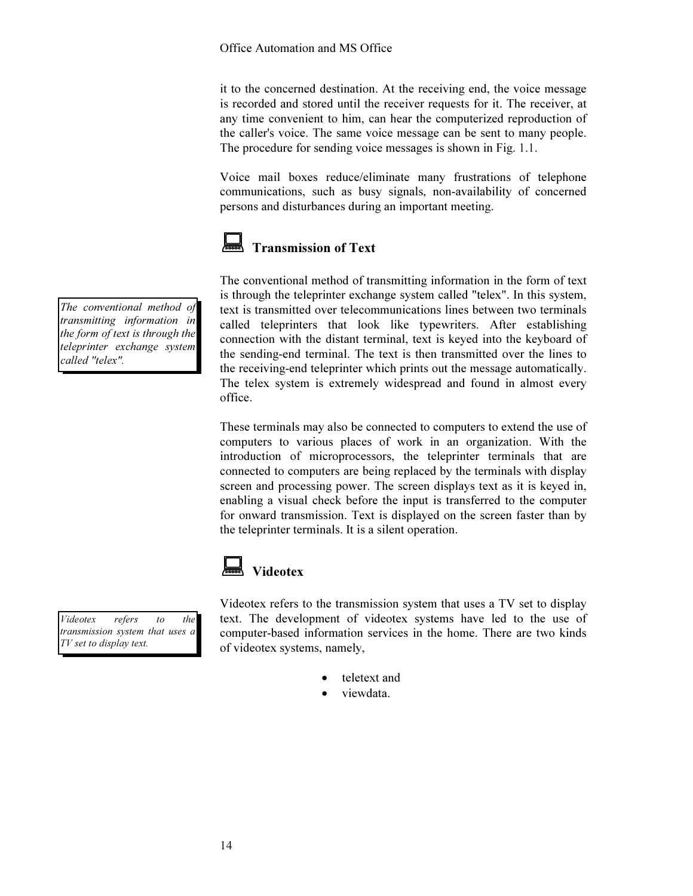it to the concerned destination. At the receiving end, the voice message is recorded and stored until the receiver requests for it. The receiver, at any time convenient to him, can hear the computerized reproduction of the caller's voice. The same voice message can be sent to many people. The procedure for sending voice messages is shown in Fig. 1.1.

Voice mail boxes reduce/eliminate many frustrations of telephone communications, such as busy signals, non-availability of concerned persons and disturbances during an important meeting.



# Transmission of Text

The conventional method of transmitting information in the form of text is through the teleprinter exchange system called "telex". In this system, text is transmitted over telecommunications lines between two terminals called teleprinters that look like typewriters. After establishing connection with the distant terminal, text is keyed into the keyboard of the sending-end terminal. The text is then transmitted over the lines to the receiving-end teleprinter which prints out the message automatically. The telex system is extremely widespread and found in almost every office.

These terminals may also be connected to computers to extend the use of computers to various places of work in an organization. With the introduction of microprocessors, the teleprinter terminals that are connected to computers are being replaced by the terminals with display screen and processing power. The screen displays text as it is keyed in, enabling a visual check before the input is transferred to the computer for onward transmission. Text is displayed on the screen faster than by the teleprinter terminals. It is a silent operation.

# Videotex

Videotex refers to the transmission system that uses a TV set to display text. The development of videotex systems have led to the use of computer-based information services in the home. There are two kinds of videotex systems, namely,

- teletext and
- viewdata.

The conventional method of transmitting information in the form of text is through the teleprinter exchange system called "telex".

Videotex refers to the transmission system that uses a TV set to display text.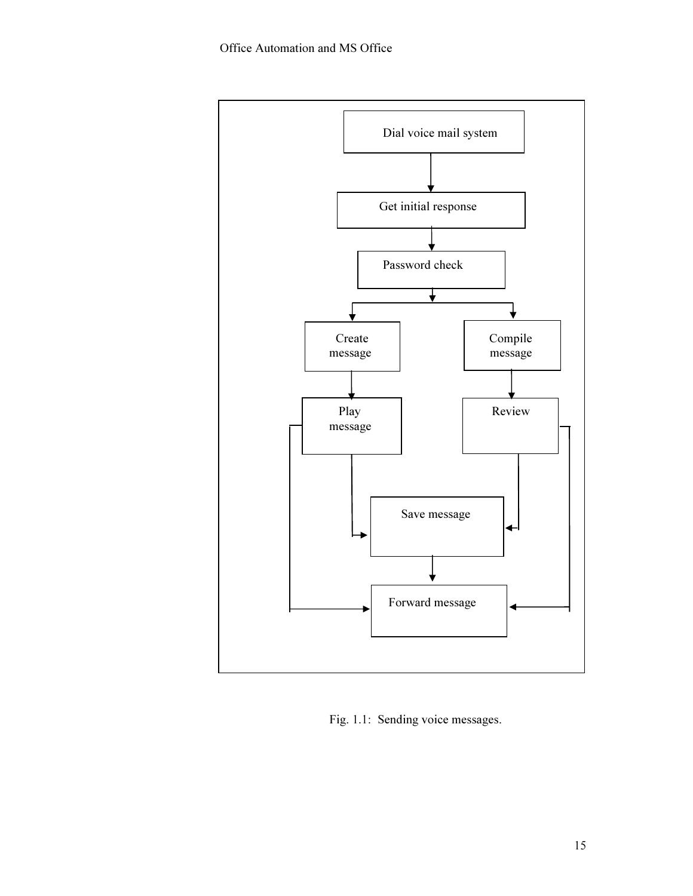

Fig. 1.1: Sending voice messages.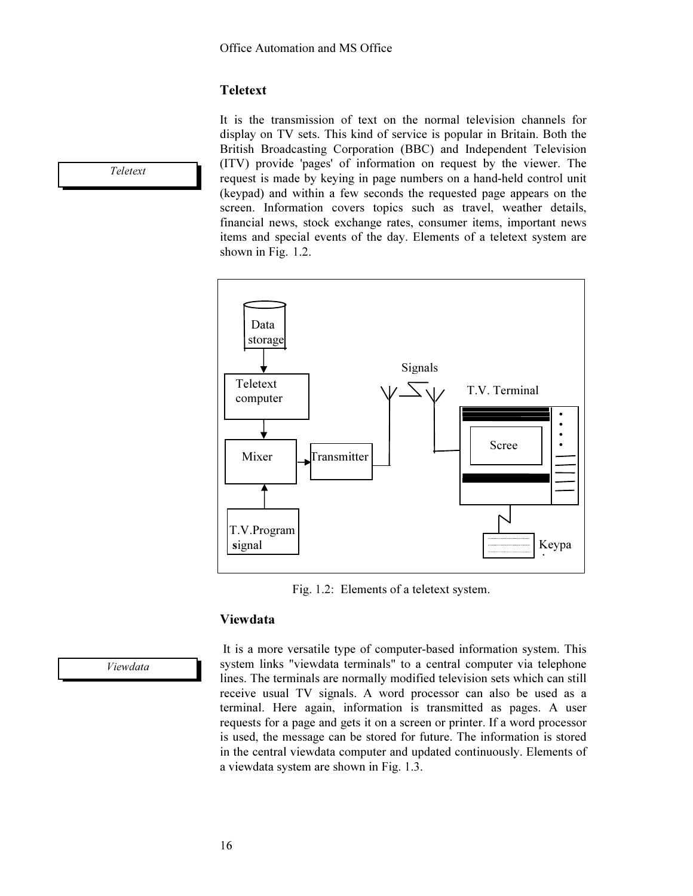# **Teletext**

It is the transmission of text on the normal television channels for display on TV sets. This kind of service is popular in Britain. Both the British Broadcasting Corporation (BBC) and Independent Television (ITV) provide 'pages' of information on request by the viewer. The request is made by keying in page numbers on a hand-held control unit (keypad) and within a few seconds the requested page appears on the screen. Information covers topics such as travel, weather details, financial news, stock exchange rates, consumer items, important news items and special events of the day. Elements of a teletext system are shown in Fig. 1.2.



Fig. 1.2: Elements of a teletext system.

## Viewdata

Viewdata

 It is a more versatile type of computer-based information system. This system links "viewdata terminals" to a central computer via telephone lines. The terminals are normally modified television sets which can still receive usual TV signals. A word processor can also be used as a terminal. Here again, information is transmitted as pages. A user requests for a page and gets it on a screen or printer. If a word processor is used, the message can be stored for future. The information is stored in the central viewdata computer and updated continuously. Elements of a viewdata system are shown in Fig. 1.3.

Teletext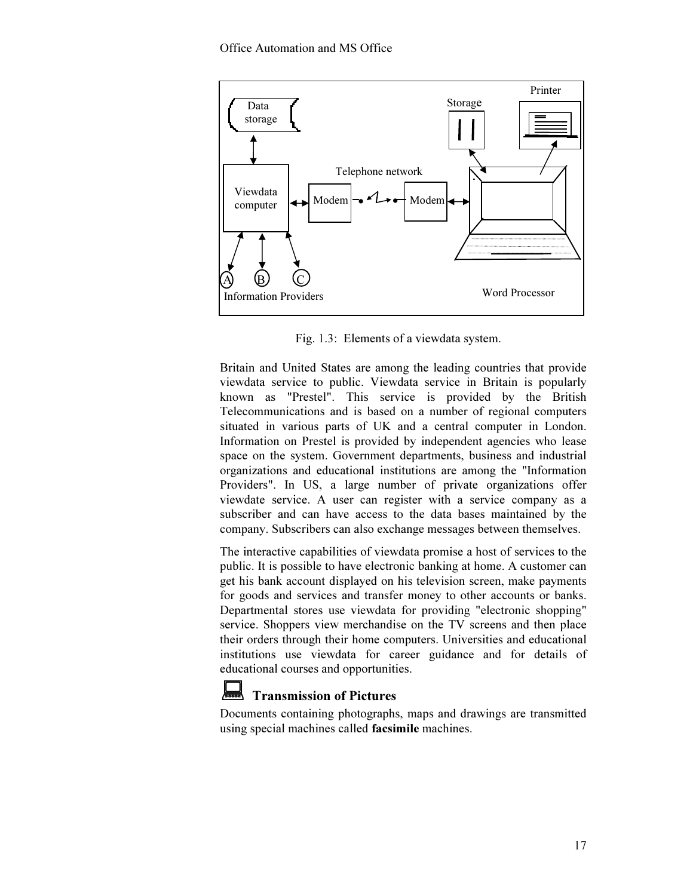

Fig. 1.3: Elements of a viewdata system.

Britain and United States are among the leading countries that provide viewdata service to public. Viewdata service in Britain is popularly known as "Prestel". This service is provided by the British Telecommunications and is based on a number of regional computers situated in various parts of UK and a central computer in London. Information on Prestel is provided by independent agencies who lease space on the system. Government departments, business and industrial organizations and educational institutions are among the "Information Providers". In US, a large number of private organizations offer viewdate service. A user can register with a service company as a subscriber and can have access to the data bases maintained by the company. Subscribers can also exchange messages between themselves.

The interactive capabilities of viewdata promise a host of services to the public. It is possible to have electronic banking at home. A customer can get his bank account displayed on his television screen, make payments for goods and services and transfer money to other accounts or banks. Departmental stores use viewdata for providing "electronic shopping" service. Shoppers view merchandise on the TV screens and then place their orders through their home computers. Universities and educational institutions use viewdata for career guidance and for details of educational courses and opportunities.



# Transmission of Pictures

Documents containing photographs, maps and drawings are transmitted using special machines called facsimile machines.